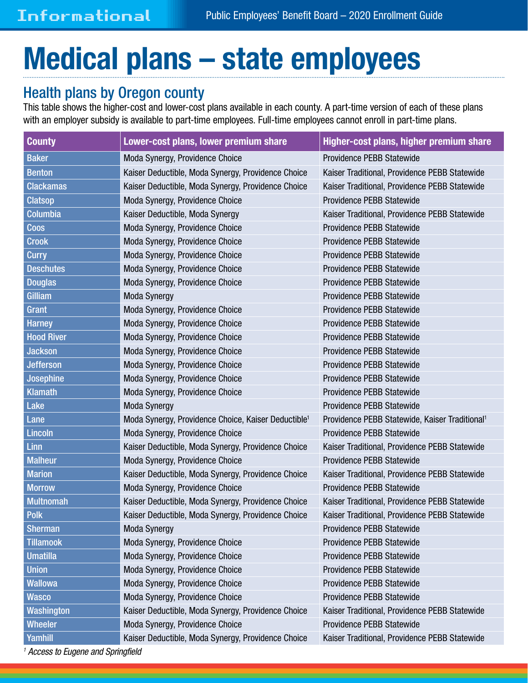## Medical plans – state employees

## Health plans by Oregon county

This table shows the higher-cost and lower-cost plans available in each county. A part-time version of each of these plans with an employer subsidy is available to part-time employees. Full-time employees cannot enroll in part-time plans.

| <b>County</b>     | Lower-cost plans, lower premium share                                                               | Higher-cost plans, higher premium share                    |  |
|-------------------|-----------------------------------------------------------------------------------------------------|------------------------------------------------------------|--|
| <b>Baker</b>      | Moda Synergy, Providence Choice<br><b>Providence PEBB Statewide</b>                                 |                                                            |  |
| <b>Benton</b>     | Kaiser Traditional, Providence PEBB Statewide<br>Kaiser Deductible, Moda Synergy, Providence Choice |                                                            |  |
| <b>Clackamas</b>  | Kaiser Deductible, Moda Synergy, Providence Choice                                                  | Kaiser Traditional, Providence PEBB Statewide              |  |
| <b>Clatsop</b>    | Moda Synergy, Providence Choice                                                                     | Providence PEBB Statewide                                  |  |
| <b>Columbia</b>   | Kaiser Deductible, Moda Synergy                                                                     | Kaiser Traditional, Providence PEBB Statewide              |  |
| <b>Coos</b>       | Moda Synergy, Providence Choice                                                                     | Providence PEBB Statewide                                  |  |
| <b>Crook</b>      | Moda Synergy, Providence Choice                                                                     | Providence PEBB Statewide                                  |  |
| <b>Curry</b>      | Moda Synergy, Providence Choice                                                                     | Providence PEBB Statewide                                  |  |
| <b>Deschutes</b>  | Moda Synergy, Providence Choice                                                                     | Providence PEBB Statewide                                  |  |
| <b>Douglas</b>    | Moda Synergy, Providence Choice                                                                     | Providence PEBB Statewide                                  |  |
| Gilliam           | <b>Moda Synergy</b>                                                                                 | Providence PEBB Statewide                                  |  |
| <b>Grant</b>      | Moda Synergy, Providence Choice                                                                     | Providence PEBB Statewide                                  |  |
| <b>Harney</b>     | Providence PEBB Statewide<br>Moda Synergy, Providence Choice                                        |                                                            |  |
| <b>Hood River</b> | Providence PEBB Statewide<br>Moda Synergy, Providence Choice                                        |                                                            |  |
| <b>Jackson</b>    | Moda Synergy, Providence Choice                                                                     | Providence PEBB Statewide                                  |  |
| <b>Jefferson</b>  | Providence PEBB Statewide<br>Moda Synergy, Providence Choice                                        |                                                            |  |
| Josephine         | Moda Synergy, Providence Choice                                                                     | Providence PEBB Statewide                                  |  |
| <b>Klamath</b>    | Providence PEBB Statewide<br>Moda Synergy, Providence Choice                                        |                                                            |  |
| Lake              | <b>Moda Synergy</b>                                                                                 | Providence PEBB Statewide                                  |  |
| Lane              | Moda Synergy, Providence Choice, Kaiser Deductible <sup>1</sup>                                     | Providence PEBB Statewide, Kaiser Traditional <sup>1</sup> |  |
| <b>Lincoln</b>    | Providence PEBB Statewide<br>Moda Synergy, Providence Choice                                        |                                                            |  |
| <b>Linn</b>       | Kaiser Deductible, Moda Synergy, Providence Choice<br>Kaiser Traditional, Providence PEBB Statewide |                                                            |  |
| <b>Malheur</b>    | Moda Synergy, Providence Choice<br>Providence PEBB Statewide                                        |                                                            |  |
| <b>Marion</b>     | Kaiser Deductible, Moda Synergy, Providence Choice<br>Kaiser Traditional, Providence PEBB Statewide |                                                            |  |
| <b>Morrow</b>     | Providence PEBB Statewide<br>Moda Synergy, Providence Choice                                        |                                                            |  |
| <b>Multnomah</b>  | Kaiser Traditional, Providence PEBB Statewide<br>Kaiser Deductible, Moda Synergy, Providence Choice |                                                            |  |
| <b>Polk</b>       | Kaiser Deductible, Moda Synergy, Providence Choice<br>Kaiser Traditional, Providence PEBB Statewide |                                                            |  |
| <b>Sherman</b>    | <b>Moda Synergy</b><br>Providence PEBB Statewide                                                    |                                                            |  |
| <b>Tillamook</b>  | Moda Synergy, Providence Choice<br>Providence PEBB Statewide                                        |                                                            |  |
| <b>Umatilla</b>   | Moda Synergy, Providence Choice<br>Providence PEBB Statewide                                        |                                                            |  |
| <b>Union</b>      | Moda Synergy, Providence Choice<br>Providence PEBB Statewide                                        |                                                            |  |
| <b>Wallowa</b>    | Moda Synergy, Providence Choice<br>Providence PEBB Statewide                                        |                                                            |  |
| <b>Wasco</b>      | Moda Synergy, Providence Choice<br>Providence PEBB Statewide                                        |                                                            |  |
| Washington        | Kaiser Deductible, Moda Synergy, Providence Choice<br>Kaiser Traditional, Providence PEBB Statewide |                                                            |  |
| <b>Wheeler</b>    | Moda Synergy, Providence Choice<br>Providence PEBB Statewide                                        |                                                            |  |
| Yamhill           | Kaiser Deductible, Moda Synergy, Providence Choice<br>Kaiser Traditional, Providence PEBB Statewide |                                                            |  |

*1 Access to Eugene and Springfield*